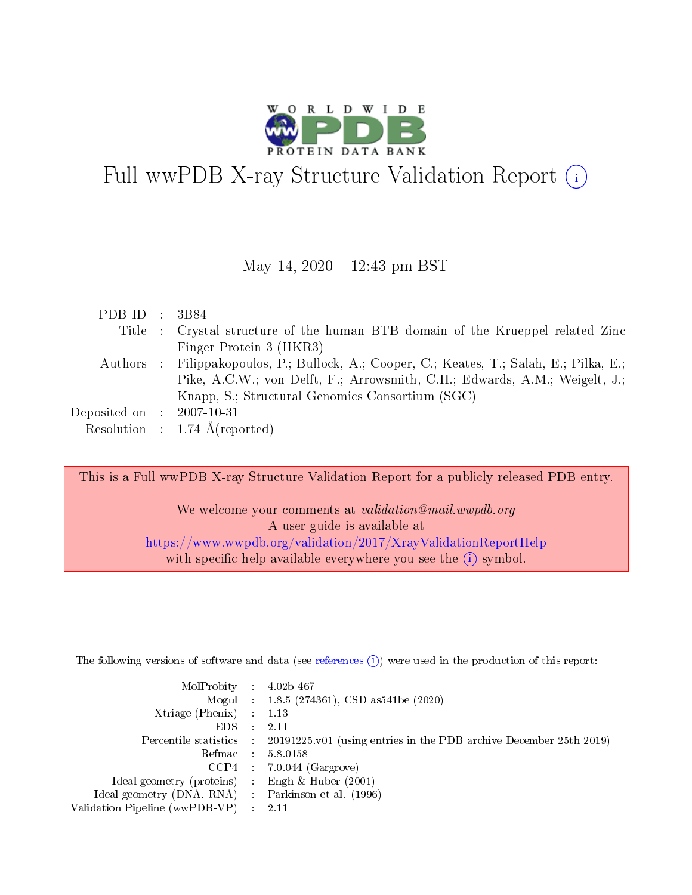

# Full wwPDB X-ray Structure Validation Report (i)

#### May 14,  $2020 - 12:43$  pm BST

| PDB ID : $3B84$                |                                                                                           |
|--------------------------------|-------------------------------------------------------------------------------------------|
|                                | Title : Crystal structure of the human BTB domain of the Krueppel related Zinc            |
|                                | Finger Protein 3 (HKR3)                                                                   |
|                                | Authors : Filippakopoulos, P.; Bullock, A.; Cooper, C.; Keates, T.; Salah, E.; Pilka, E.; |
|                                | Pike, A.C.W.; von Delft, F.; Arrowsmith, C.H.; Edwards, A.M.; Weigelt, J.;                |
|                                | Knapp, S.; Structural Genomics Consortium (SGC)                                           |
| Deposited on $\;$ : 2007-10-31 |                                                                                           |
|                                | Resolution : $1.74 \text{ Å}$ (reported)                                                  |

This is a Full wwPDB X-ray Structure Validation Report for a publicly released PDB entry.

We welcome your comments at *validation@mail.wwpdb.org* A user guide is available at <https://www.wwpdb.org/validation/2017/XrayValidationReportHelp> with specific help available everywhere you see the  $(i)$  symbol.

The following versions of software and data (see [references](https://www.wwpdb.org/validation/2017/XrayValidationReportHelp#references)  $(1)$ ) were used in the production of this report:

| $MolProbability$ 4.02b-467                          |               |                                                                                            |
|-----------------------------------------------------|---------------|--------------------------------------------------------------------------------------------|
|                                                     |               | Mogul : $1.8.5$ (274361), CSD as 541be (2020)                                              |
| Xtriage (Phenix) $: 1.13$                           |               |                                                                                            |
| EDS.                                                | $\mathcal{L}$ | -2.11                                                                                      |
|                                                     |               | Percentile statistics : 20191225.v01 (using entries in the PDB archive December 25th 2019) |
|                                                     |               | Refmac $5.8.0158$                                                                          |
| CCP4                                                |               | $7.0.044$ (Gargrove)                                                                       |
| Ideal geometry (proteins)                           | $\sim$        | Engh $\&$ Huber (2001)                                                                     |
| Ideal geometry (DNA, RNA) : Parkinson et al. (1996) |               |                                                                                            |
| Validation Pipeline (wwPDB-VP) : 2.11               |               |                                                                                            |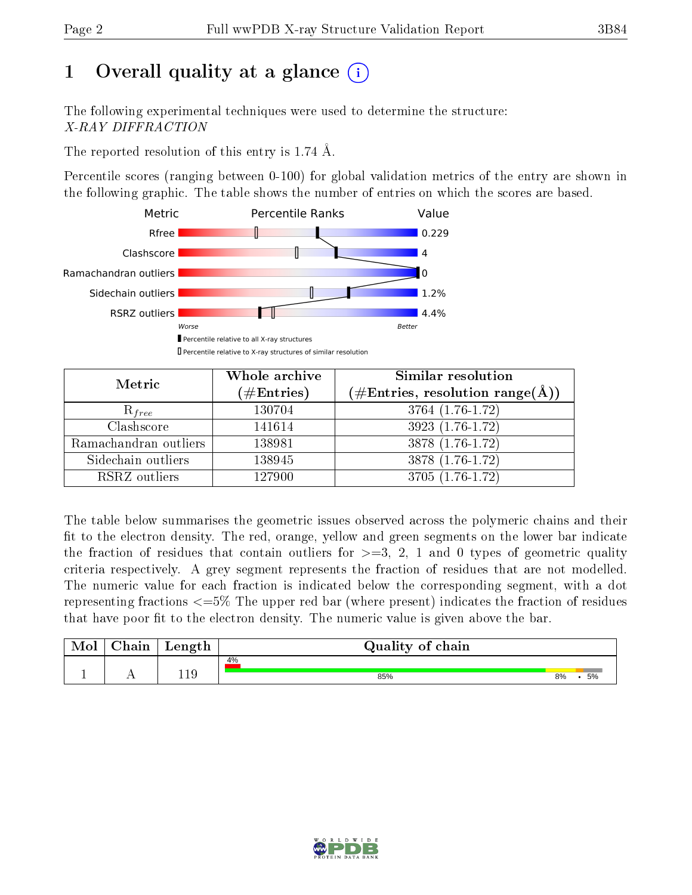# 1 [O](https://www.wwpdb.org/validation/2017/XrayValidationReportHelp#overall_quality)verall quality at a glance  $(i)$

The following experimental techniques were used to determine the structure: X-RAY DIFFRACTION

The reported resolution of this entry is 1.74 Å.

Percentile scores (ranging between 0-100) for global validation metrics of the entry are shown in the following graphic. The table shows the number of entries on which the scores are based.



| Metric                | Whole archive<br>$(\#\text{Entries})$ | Similar resolution<br>$(\#\text{Entries}, \text{resolution range}(\text{\AA}))$ |
|-----------------------|---------------------------------------|---------------------------------------------------------------------------------|
| $R_{free}$            | 130704                                | 3764 (1.76-1.72)                                                                |
| Clashscore            | 141614                                | 3923 (1.76-1.72)                                                                |
| Ramachandran outliers | 138981                                | $3878(1.76-1.72)$                                                               |
| Sidechain outliers    | 138945                                | 3878 (1.76-1.72)                                                                |
| RSRZ outliers         | 127900                                | 3705 (1.76-1.72)                                                                |

The table below summarises the geometric issues observed across the polymeric chains and their fit to the electron density. The red, orange, yellow and green segments on the lower bar indicate the fraction of residues that contain outliers for  $>=3, 2, 1$  and 0 types of geometric quality criteria respectively. A grey segment represents the fraction of residues that are not modelled. The numeric value for each fraction is indicated below the corresponding segment, with a dot representing fractions  $\epsilon=5\%$  The upper red bar (where present) indicates the fraction of residues that have poor fit to the electron density. The numeric value is given above the bar.

| Mol | $\cap$ hain | Length | Quality of chain |          |  |  |  |  |
|-----|-------------|--------|------------------|----------|--|--|--|--|
|     |             |        | 4%               |          |  |  |  |  |
|     |             |        | 85%              | 5%<br>8% |  |  |  |  |

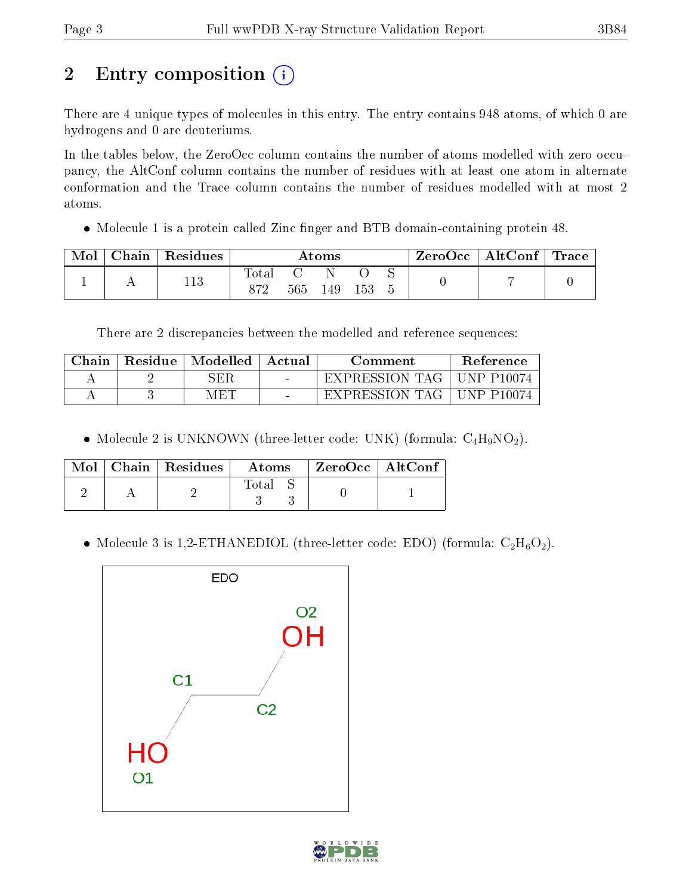# 2 Entry composition  $\left( \cdot \right)$

There are 4 unique types of molecules in this entry. The entry contains 948 atoms, of which 0 are hydrogens and 0 are deuteriums.

In the tables below, the ZeroOcc column contains the number of atoms modelled with zero occupancy, the AltConf column contains the number of residues with at least one atom in alternate conformation and the Trace column contains the number of residues modelled with at most 2 atoms.

• Molecule 1 is a protein called Zinc finger and BTB domain-containing protein 48.

| Mol | ${\rm Chain}\parallel {\rm Residues}$ | $\rm{Atoms}$ |     |     |     | $\text{ZeroOcc} \mid \text{AltConf} \mid \text{Trace}$ |  |
|-----|---------------------------------------|--------------|-----|-----|-----|--------------------------------------------------------|--|
|     | 113                                   | l'otal       | 565 | 149 | 153 |                                                        |  |

There are 2 discrepancies between the modelled and reference sequences:

| ${\rm Chain}$ | Residue | $\mid$ Modelled $\mid$ | - Actual | Comment          | Reference         |
|---------------|---------|------------------------|----------|------------------|-------------------|
|               |         | SER.                   | $\sim$   | EXPRESSION TAG 1 | <b>UNP P10074</b> |
|               |         | M ET                   | $\sim$   | EXPRESSION TAG I | <b>UNP P10074</b> |

• Molecule 2 is UNKNOWN (three-letter code: UNK) (formula:  $C_4H_9NO_2$ ).

|  | Mol   Chain   Residues | Atoms | $ZeroOcc$   AltConf |  |
|--|------------------------|-------|---------------------|--|
|  |                        | Total |                     |  |

• Molecule 3 is 1,2-ETHANEDIOL (three-letter code: EDO) (formula:  $C_2H_6O_2$ ).



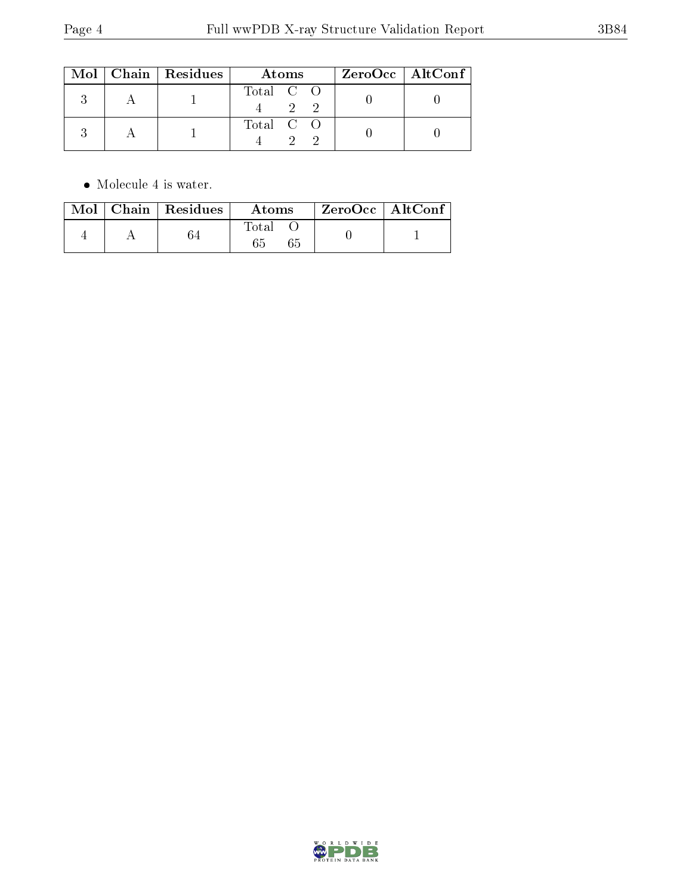|  | $Mol$   Chain   Residues | Atoms                      | $ZeroOcc \mid AltConf$ |  |
|--|--------------------------|----------------------------|------------------------|--|
|  |                          | Total C O<br>$\mathcal{D}$ |                        |  |
|  |                          | Total C O                  |                        |  |

 $\bullet\,$  Molecule 4 is water.

|  | Mol   Chain   Residues | <b>Atoms</b> | $\rm ZeroOcc$   AltConf |  |
|--|------------------------|--------------|-------------------------|--|
|  |                        | Total        |                         |  |

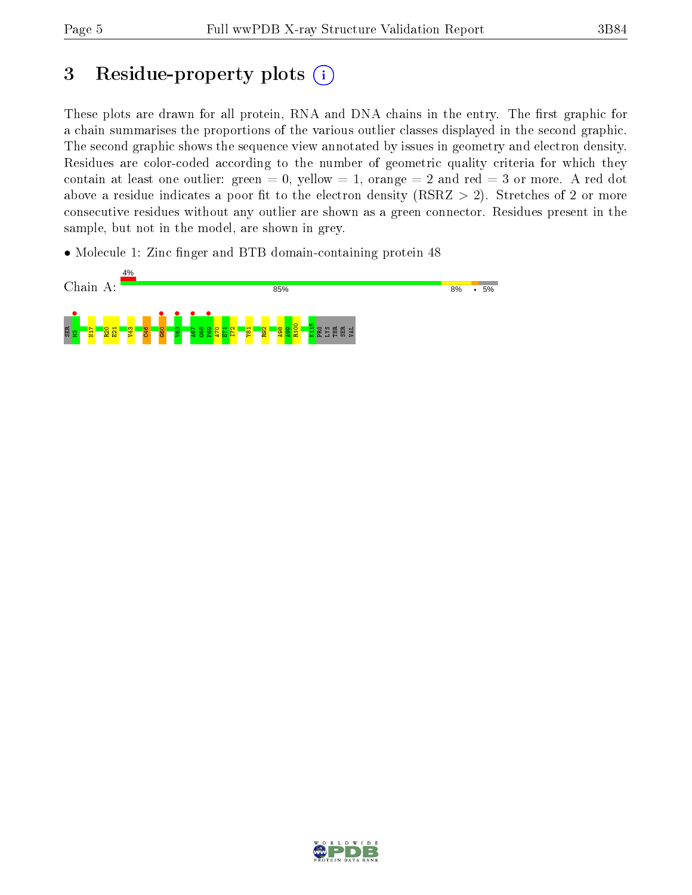## 3 Residue-property plots  $(i)$

These plots are drawn for all protein, RNA and DNA chains in the entry. The first graphic for a chain summarises the proportions of the various outlier classes displayed in the second graphic. The second graphic shows the sequence view annotated by issues in geometry and electron density. Residues are color-coded according to the number of geometric quality criteria for which they contain at least one outlier: green  $= 0$ , yellow  $= 1$ , orange  $= 2$  and red  $= 3$  or more. A red dot above a residue indicates a poor fit to the electron density (RSRZ  $> 2$ ). Stretches of 2 or more consecutive residues without any outlier are shown as a green connector. Residues present in the sample, but not in the model, are shown in grey.

• Molecule 1: Zinc finger and BTB domain-containing protein 48



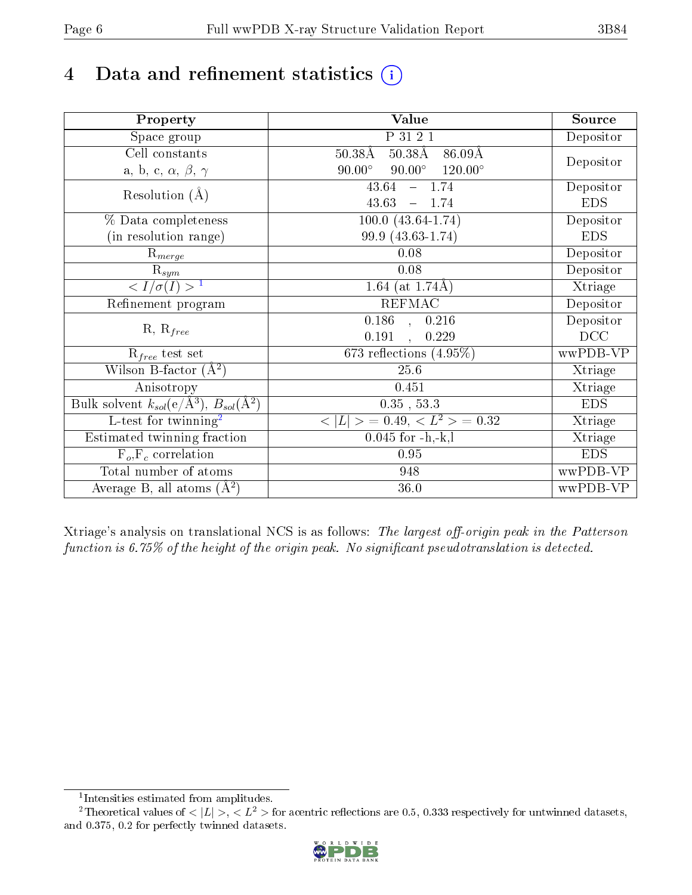# 4 Data and refinement statistics  $(i)$

| Property                                                             | Value                                                | Source     |
|----------------------------------------------------------------------|------------------------------------------------------|------------|
| Space group                                                          | P 31 2 1                                             | Depositor  |
| Cell constants                                                       | $50.38\text{\AA}$<br>$50.38\text{\AA}$<br>$86.09\AA$ |            |
| a, b, c, $\alpha$ , $\beta$ , $\gamma$                               | $90.00^\circ$<br>$90.00^\circ$<br>$120.00^{\circ}$   | Depositor  |
| Resolution $(A)$                                                     | 43.64<br>$-1.74$                                     | Depositor  |
|                                                                      | 43.63<br>$-1.74$                                     | <b>EDS</b> |
| % Data completeness                                                  | $100.0 (43.64 - 1.74)$                               | Depositor  |
| (in resolution range)                                                | 99.9 (43.63-1.74)                                    | <b>EDS</b> |
| $R_{merge}$                                                          | 0.08                                                 | Depositor  |
| $\mathrm{R}_{sym}$                                                   | 0.08                                                 | Depositor  |
| $\langle I/\sigma(I) \rangle^{-1}$                                   | 1.64 (at $1.74\text{\AA}$ )                          | Xtriage    |
| Refinement program                                                   | <b>REFMAC</b>                                        | Depositor  |
|                                                                      | $0.186$ , $0.216$                                    | Depositor  |
| $R, R_{free}$                                                        | 0.191<br>0.229                                       | DCC        |
| $R_{free}$ test set                                                  | 673 reflections $(4.95\%)$                           | wwPDB-VP   |
| Wilson B-factor $(A^2)$                                              | 25.6                                                 | Xtriage    |
| Anisotropy                                                           | 0.451                                                | Xtriage    |
| Bulk solvent $k_{sol}(e/\mathring{A}^3)$ , $B_{sol}(\mathring{A}^2)$ | $0.35$ , $53.3$                                      | <b>EDS</b> |
| $\overline{L-test for }$ twinning <sup>2</sup>                       | $< L >$ = 0.49, $< L2$ > = 0.32                      | Xtriage    |
| Estimated twinning fraction                                          | $0.045$ for $-h,-k,l$                                | Xtriage    |
| $F_o, F_c$ correlation                                               | 0.95                                                 | <b>EDS</b> |
| Total number of atoms                                                | 948                                                  | wwPDB-VP   |
| Average B, all atoms $(A^2)$                                         | 36.0                                                 | wwPDB-VP   |

Xtriage's analysis on translational NCS is as follows: The largest off-origin peak in the Patterson function is  $6.75\%$  of the height of the origin peak. No significant pseudotranslation is detected.

<sup>&</sup>lt;sup>2</sup>Theoretical values of  $\langle |L| \rangle$ ,  $\langle L^2 \rangle$  for acentric reflections are 0.5, 0.333 respectively for untwinned datasets, and 0.375, 0.2 for perfectly twinned datasets.



<span id="page-5-1"></span><span id="page-5-0"></span><sup>1</sup> Intensities estimated from amplitudes.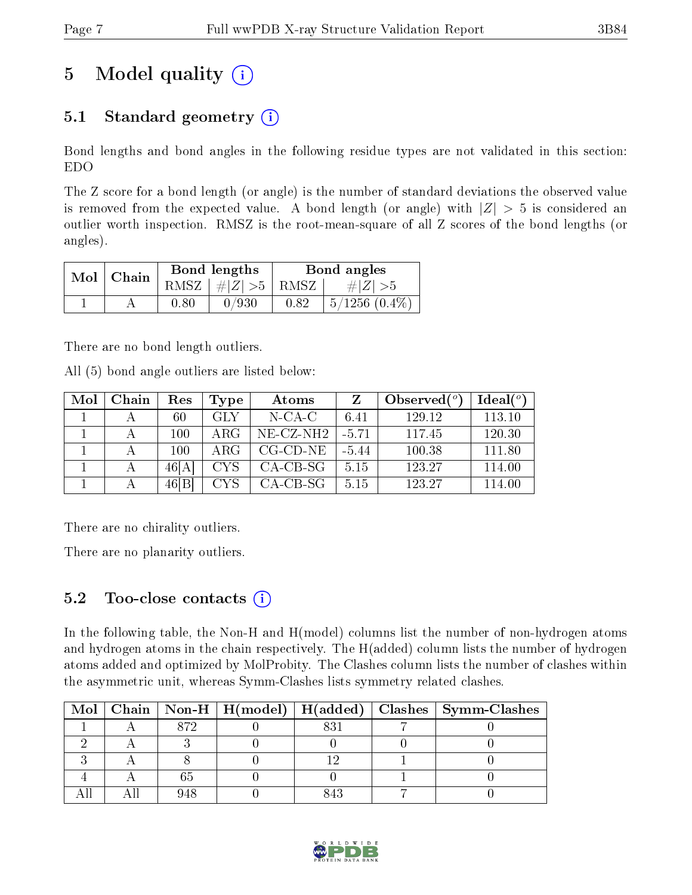# 5 Model quality  $(i)$

### 5.1 Standard geometry  $(i)$

Bond lengths and bond angles in the following residue types are not validated in this section: EDO

The Z score for a bond length (or angle) is the number of standard deviations the observed value is removed from the expected value. A bond length (or angle) with  $|Z| > 5$  is considered an outlier worth inspection. RMSZ is the root-mean-square of all Z scores of the bond lengths (or angles).

| $Mol$   Chain |      | Bond lengths                   | Bond angles |                    |  |
|---------------|------|--------------------------------|-------------|--------------------|--|
|               |      | RMSZ $\mid \#Z \mid >5$   RMSZ |             | $\# Z  > 5$        |  |
|               | 0.80 | 0/930                          | 0.82        | $5/1256$ $(0.4\%)$ |  |

There are no bond length outliers.

All (5) bond angle outliers are listed below:

| Mol | Chain | Res    | Type       | Atoms        | Z       | Observed $(°)$ | Ideal $(°)$ |
|-----|-------|--------|------------|--------------|---------|----------------|-------------|
|     |       | 60     | <b>GLY</b> | $N$ -CA-C    | 6.41    | 129.12         | 113.10      |
|     |       | 100    | ARG        | $NE- CZ-NH2$ | $-5.71$ | 117.45         | 120.30      |
|     |       | 100    | $\rm{ARG}$ | $CG-CD-NE$   | $-5.44$ | 100.38         | 111.80      |
|     |       | 46[A]  | CYS.       | $CA-CB-SG$   | 5.15    | 123.27         | 114.00      |
|     |       | 46 [B] | CYS.       | $CA-CB-SG$   | 5.15    | 123.27         | 114.00      |

There are no chirality outliers.

There are no planarity outliers.

### 5.2 Too-close contacts  $(i)$

In the following table, the Non-H and H(model) columns list the number of non-hydrogen atoms and hydrogen atoms in the chain respectively. The H(added) column lists the number of hydrogen atoms added and optimized by MolProbity. The Clashes column lists the number of clashes within the asymmetric unit, whereas Symm-Clashes lists symmetry related clashes.

|  |     |  | Mol   Chain   Non-H   H(model)   H(added)   Clashes   Symm-Clashes |
|--|-----|--|--------------------------------------------------------------------|
|  | 879 |  |                                                                    |
|  |     |  |                                                                    |
|  |     |  |                                                                    |
|  |     |  |                                                                    |
|  |     |  |                                                                    |

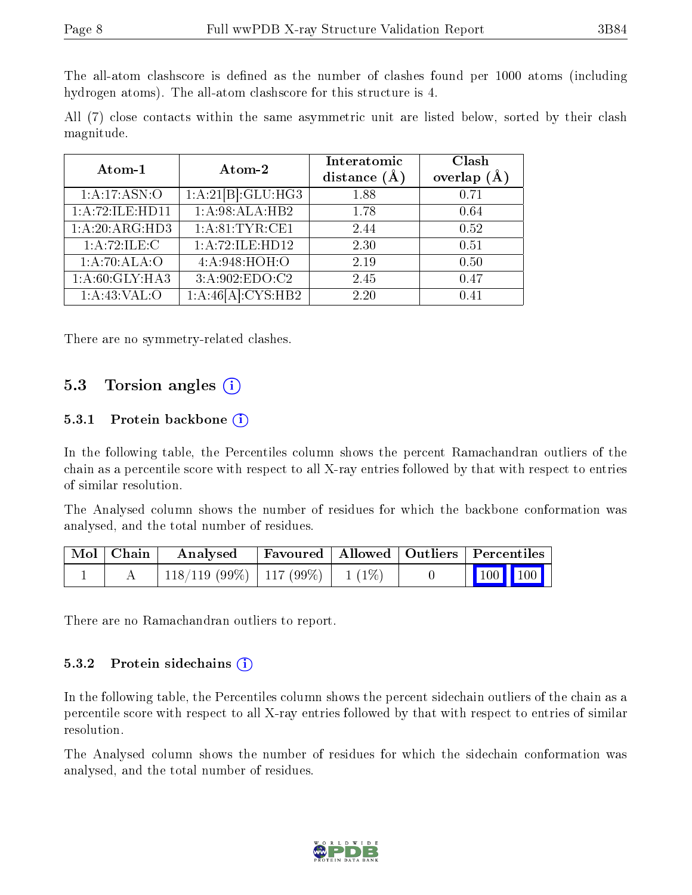The all-atom clashscore is defined as the number of clashes found per 1000 atoms (including hydrogen atoms). The all-atom clashscore for this structure is 4.

All (7) close contacts within the same asymmetric unit are listed below, sorted by their clash magnitude.

| Atom-1                      | Atom-2                         | Interatomic<br>distance $(\AA)$ | Clash<br>overlap $(\AA)$ |
|-----------------------------|--------------------------------|---------------------------------|--------------------------|
| 1:A:17:ASN:O                | $1:A:21[B]:\overline{GLU:HG3}$ | 1.88                            | 0.71                     |
| 1:A:72:ILE:HDI1             | 1:A:98:ALA:HB2                 | 1.78                            | 0.64                     |
| $1:A:20:A\overline{RG:HD3}$ | 1: A:81:TYR:CE1                | 2.44                            | 0.52                     |
| 1:A:72:ILE:C                | 1:A:72:ILE:HD12                | 2.30                            | 0.51                     |
| 1:A:70:ALA:O                | 4: A:948:HOH:O                 | 2.19                            | 0.50                     |
| 1:A:60:GLY:HA3              | 3:A:902:EDO:C2                 | 2.45                            | 0.47                     |
| 1:A:43:VAL:O                | 1:A:46[A]:CYS:HB2              | 2.20                            | 0.41                     |

There are no symmetry-related clashes.

#### 5.3 Torsion angles (i)

#### 5.3.1 Protein backbone  $(i)$

In the following table, the Percentiles column shows the percent Ramachandran outliers of the chain as a percentile score with respect to all X-ray entries followed by that with respect to entries of similar resolution.

The Analysed column shows the number of residues for which the backbone conformation was analysed, and the total number of residues.

| Mol   Chain | Analysed                                |  | Favoured   Allowed   Outliers   Percentiles |  |
|-------------|-----------------------------------------|--|---------------------------------------------|--|
|             | $118/119$ (99\%)   117 (99\%)   1 (1\%) |  | $\vert$ 100 100 $\vert$                     |  |

There are no Ramachandran outliers to report.

#### 5.3.2 Protein sidechains  $\left( \mathbf{i} \right)$

In the following table, the Percentiles column shows the percent sidechain outliers of the chain as a percentile score with respect to all X-ray entries followed by that with respect to entries of similar resolution.

The Analysed column shows the number of residues for which the sidechain conformation was analysed, and the total number of residues.

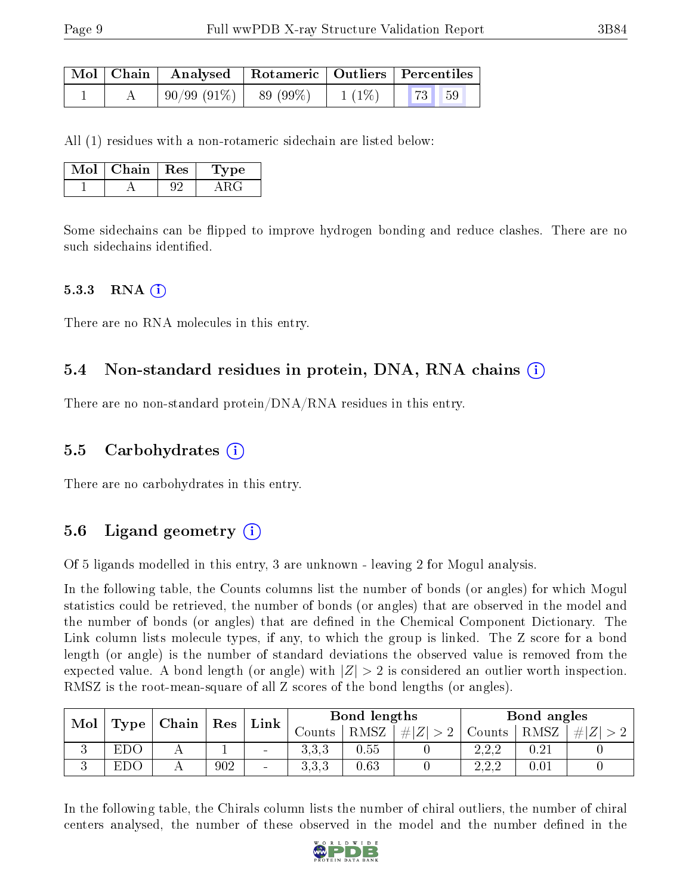|  | Mol   Chain   Analysed   Rotameric   Outliers   Percentiles |          |    |    |  |
|--|-------------------------------------------------------------|----------|----|----|--|
|  | $\mid 90/99 \ (91\%) \mid 89 \ (99\%)$                      | $1(1\%)$ | 73 | 59 |  |

All (1) residues with a non-rotameric sidechain are listed below:

| Mol | Chain   Res | '1 ype |
|-----|-------------|--------|
|     |             |        |

Some sidechains can be flipped to improve hydrogen bonding and reduce clashes. There are no such sidechains identified.

#### $5.3.3$  RNA  $(i)$

There are no RNA molecules in this entry.

#### 5.4 Non-standard residues in protein, DNA, RNA chains (i)

There are no non-standard protein/DNA/RNA residues in this entry.

#### 5.5 Carbohydrates (i)

There are no carbohydrates in this entry.

### 5.6 Ligand geometry (i)

Of 5 ligands modelled in this entry, 3 are unknown - leaving 2 for Mogul analysis.

In the following table, the Counts columns list the number of bonds (or angles) for which Mogul statistics could be retrieved, the number of bonds (or angles) that are observed in the model and the number of bonds (or angles) that are defined in the Chemical Component Dictionary. The Link column lists molecule types, if any, to which the group is linked. The Z score for a bond length (or angle) is the number of standard deviations the observed value is removed from the expected value. A bond length (or angle) with  $|Z| > 2$  is considered an outlier worth inspection. RMSZ is the root-mean-square of all Z scores of the bond lengths (or angles).

| Mol |                      | $\mid$ Chain | ${\mathop{\mathrm{Res}}\nolimits}$ | Link                     |          | Bond lengths |         |               | Bond angles |    |  |
|-----|----------------------|--------------|------------------------------------|--------------------------|----------|--------------|---------|---------------|-------------|----|--|
|     | $\perp$ Type $\perp$ |              |                                    |                          | Jounts . | RMSZ         | $\# Z $ | $\frac{1}{2}$ | RMSZ        | #! |  |
| ◡   | EDO                  |              |                                    | $\sim$                   | ত.ত.ত    | 0.55         |         | າາາ<br>ے وے ک |             |    |  |
| v   | Εl<br>$\mathcal{L}$  |              | 902                                | $\overline{\phantom{a}}$ | ს. ს. ს  | 0.63         |         | ററ<br>ے کہ ک  |             |    |  |

In the following table, the Chirals column lists the number of chiral outliers, the number of chiral centers analysed, the number of these observed in the model and the number defined in the

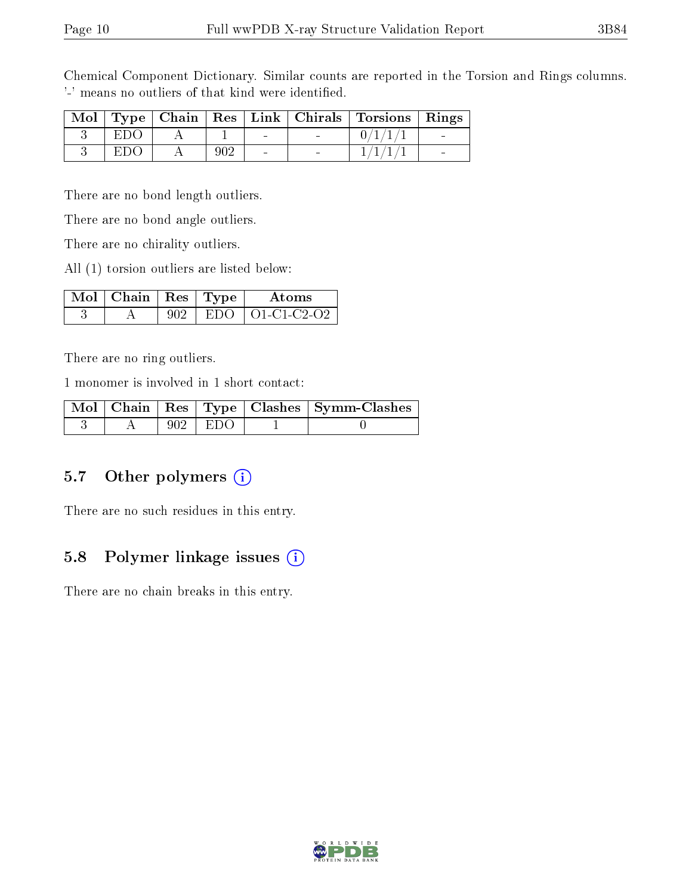Chemical Component Dictionary. Similar counts are reported in the Torsion and Rings columns. '-' means no outliers of that kind were identified.

|       |     |        | Mol   Type   Chain   Res   Link   Chirals   Torsions   Rings |  |
|-------|-----|--------|--------------------------------------------------------------|--|
| -E110 |     | $\sim$ |                                                              |  |
| ET)() | 902 | $\sim$ |                                                              |  |

There are no bond length outliers.

There are no bond angle outliers.

There are no chirality outliers.

All (1) torsion outliers are listed below:

| $\Delta$ Mol $\parallel$ Chain $\parallel$ Res $\parallel$ Type $\parallel$ |               | Atoms             |
|-----------------------------------------------------------------------------|---------------|-------------------|
|                                                                             | - E'I ) ( ) - | $\pm$ O1-C1-C2-O2 |

There are no ring outliers.

1 monomer is involved in 1 short contact:

|  |             | Mol   Chain   Res   Type   Clashes   Symm-Clashes |
|--|-------------|---------------------------------------------------|
|  | $902$   EDO |                                                   |

### 5.7 [O](https://www.wwpdb.org/validation/2017/XrayValidationReportHelp#nonstandard_residues_and_ligands)ther polymers (i)

There are no such residues in this entry.

### 5.8 Polymer linkage issues (i)

There are no chain breaks in this entry.

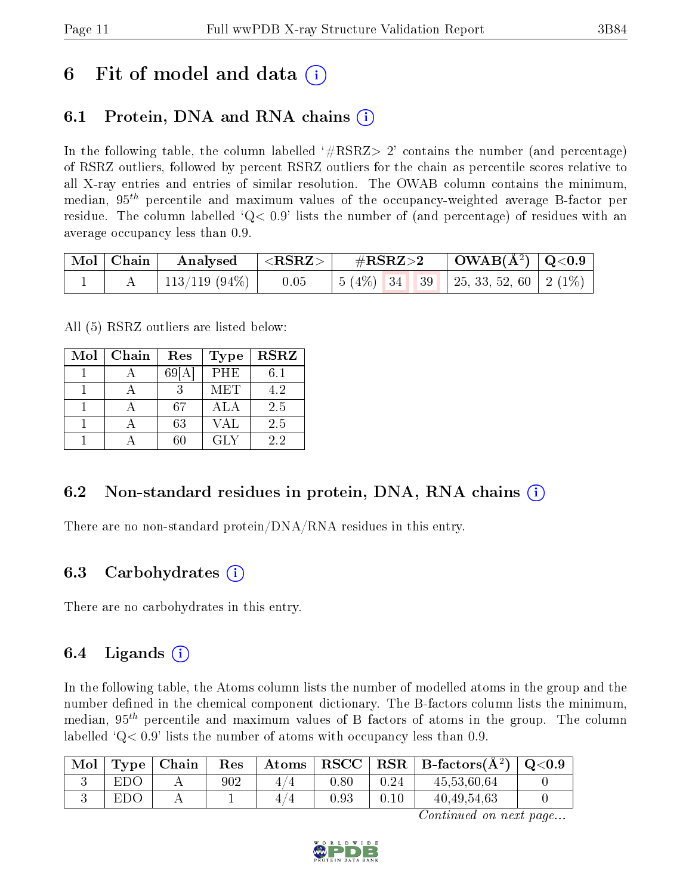## 6 Fit of model and data  $\left( \cdot \right)$

### 6.1 Protein, DNA and RNA chains (i)

In the following table, the column labelled  $#RSRZ>2'$  contains the number (and percentage) of RSRZ outliers, followed by percent RSRZ outliers for the chain as percentile scores relative to all X-ray entries and entries of similar resolution. The OWAB column contains the minimum, median,  $95<sup>th</sup>$  percentile and maximum values of the occupancy-weighted average B-factor per residue. The column labelled  $Q < 0.9$  lists the number of (and percentage) of residues with an average occupancy less than 0.9.

|  | $\begin{array}{ c c c c c c }\hline \text{Mol} & \text{Chain} & \text{Analysed} & <\text{RSRZ}> & \#\text{RSRZ}>2 & \text{OWAB(A^2)} & \text{Q<0.9}\hline \end{array}$ |  |  |  |
|--|------------------------------------------------------------------------------------------------------------------------------------------------------------------------|--|--|--|
|  | 113/119 (94\%)   0.05   5 (4\%)   34   39   25, 33, 52, 60   2 (1\%)                                                                                                   |  |  |  |

All (5) RSRZ outliers are listed below:

| Mol | Chain | Res  | <b>Type</b> | <b>RSRZ</b> |
|-----|-------|------|-------------|-------------|
|     |       | 69[A | <b>PHE</b>  | $6.1\,$     |
|     |       |      | <b>MET</b>  | 4.2         |
|     |       | 67   | ALA         | 2.5         |
|     |       | 63   | <b>VAL</b>  | 2.5         |
|     |       | 60   | GLY.        | 22          |

### 6.2 Non-standard residues in protein, DNA, RNA chains (i)

There are no non-standard protein/DNA/RNA residues in this entry.

### 6.3 Carbohydrates (i)

There are no carbohydrates in this entry.

### 6.4 Ligands  $(i)$

In the following table, the Atoms column lists the number of modelled atoms in the group and the number defined in the chemical component dictionary. The B-factors column lists the minimum, median,  $95<sup>th</sup>$  percentile and maximum values of B factors of atoms in the group. The column labelled  $Q< 0.9$ ' lists the number of atoms with occupancy less than 0.9.

| Mol | Type | Chain | $\operatorname{Res}% \left( \mathcal{N}\right) \equiv\operatorname{Res}(\mathcal{N}_{0})\cap\mathcal{N}_{1}$ | $\rm{Atoms}$ | $_{\rm RSCC}$ | $\ $ RSR $\ $ | B-factors $(A^2)$ | $\rm Q\textcolor{black}{<}0.9$ |
|-----|------|-------|--------------------------------------------------------------------------------------------------------------|--------------|---------------|---------------|-------------------|--------------------------------|
|     | EDO  |       | $902\,$                                                                                                      | $4^{\circ}$  | 0.80          | 0.24          | 45,53,60,64       |                                |
|     | EDO  |       |                                                                                                              | 4<br>∠       | $\rm 0.93$    | 0.10          | 40,49,54,63       |                                |

Continued on next page...